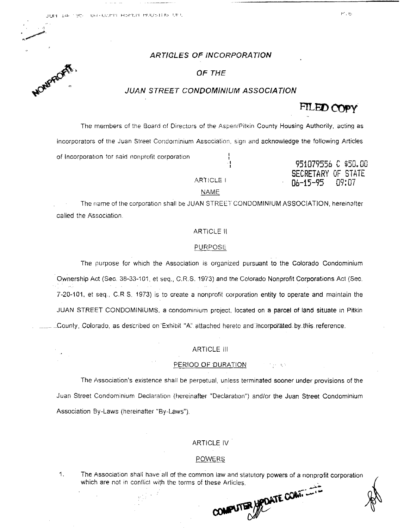## ARTIGLES OF INCORPORATION

## **OF THE**

## JUAN STREET CONDOMINIUM ASSOCIATION

The members of the Board of Directors of the Aspen/Pitkin County Housing Authority, acting as incorporators of the Juan Street Condominium Association, sign and acknowledge the following Articles of Incorporation for said nonprofit corporation

ARTICLE I

951079556 C \$50.00 *TARY OF STATE*  $n4 - 15 - 95$ דה יחד

## **NAME**

The name of the corporation shall be JUAN STREET CONDOMINIUM ASSOCIATION, hereinafter called the Association.

## **ARTICLE II**

#### **PURPOSE**

The purpose for which the Association is organized pursuant to the Colorado Condominium Ownership Act (Sec. 38-33-101, et seq., C.R.S. 1973) and the Colorado Nonprofit Corporations Act (Sec. 7-20-101, et seq., C.R S. 1973) is to create a nonprofit corporation entity to operate and maintain the JUAN STREET CONDOMINIUMS, a condominium project, located on a parcel of land situate in Pitkin County, Colorado, as described on Exhibit "A" attached hereto and incorporated by this reference.

#### **ARTICLE III**

#### PERIOD OF DURATION

The Association's existence shall be perpetual, unless terminated sooner under provisions of the Juan Street Condominium Declaration (hereinafter "Declaration") and/or the Juan Street Condominium Association By-Laws (hereinafter "By-Laws").

## **ARTICLE IV**

#### **POWERS**

The Association shall have all of the common law and statutory powers of a nonprofit corporation 1. which are not in conflict with the terms of these Articles.



# FILED COPY

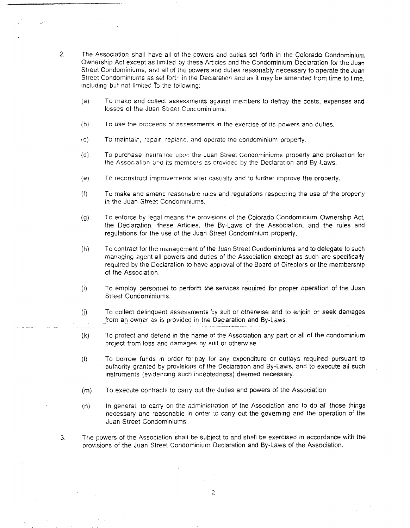- 2. The Association shall have all of the powers and duties set forth in the Colorado Condominium Ownership Act except as limited by these Articies and the Condominium Declaration for the Juan Street Condominiums, and all of the powers and duties reasonably necessary to operate the Juan Street Condominiums as set forth in the Declaration and as it may be amended from time to time. including but not limited To the following:
	- (a) To make and collect assessments against members to defray the costs, expenses and losses of the Juan Street Condominiums.
	- (b) To use the proceeds of assessments in the exercise of its powers and duties.
	- (c) To maintain, repair. replace and operate the condominium property.
	- (d) To purchase insurance upon the Juan Street Condominiums property and protection for the Association and its members as provicco by the Declaration and By-Laws.
	- (e) To reconstruct improvements after casualty and to further improve the property.
	- {f} To make and amend reasonable rules and regulations respecting the use of the property in the Juan Street Condominiums.
	- (g) To enforce by legal means the provisions of the Colorado Condominium Ownership Act, the Declaration, these Articles, the By-Laws of the Association, and the rules and regulations for the use of the Juan Street Condominium property.
	- (h) To contract for the management of the Juan Street Condominiums and to delegate to such managing agent ali powers and duties of the Association except as such are specifically required by the Declaration to have approval of the Board of Directors or the membership of the Association.
	- (i) To employ personnel to perform the services required for proper operation of the Juan Street Condominiums.
	- U) To collect delinquent assessments by suit or otherwise and to enjoin or seek damages from an owner as is provided in the Declaration and By-Laws.
	- (k) To protect and defend in the nama of the Association any part or all of the condominium project from loss and damages by suit or otherwise.
	- (I) To borrow funds in order to pay for any expenditure or outlays required pursuant to authority granted by provisions of the Declaration and By-Laws, and to execute all such instruments (evidencing such indebtedness) deemed necessary.
	- (m) To execute contracts to carry out the duties and powers of the Association
	- (n) In general, to carry on the administration of the Association and to do all those things necessary and reasonable in order to carry out the governing and the operation of the Juan Street Condominiums
- 3. The powers of the Association shall be subject to and shall be exercised in accordance with the provisions of the Juan Street Condominium Declaration and By-Laws of the Association.

**Contract**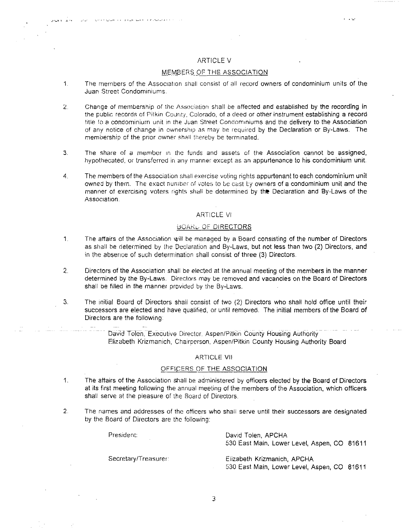## ARTICLE V

## M\_EMBERS\_\_Or: THE ASSOCIATiON

- 1. The members of the Association shall consist of all record owners of condominium units of the Juan Street Condominiums
- 2. Change of membership of the Association shall be affected and established by the recording in the public records of Pitkin County, Colorado, of a deed or other instrument establishing a record title 10 a condominium unit in the Juan Street Condominiums and the delivery to the Association of any notice of change in ownersrup as may be required by the Declaration or By-Laws. The membership of the prior owner shall thereby be terminated.
- 3. The share of a member in the funds and assets of the Association cannot be assigned, hypothecated, or transferred in any manner except as an appurtenance to his condominium unit.
- 4. The members of the Association shall exercise voting rights appurtenant to each condominium unit owned by them. The exact number of votes to be cast by owners of a condominium unit and the manner of exercising voters rights shall be determined by **the** Declaration and By-Laws of the Association.

## ARTICLE VI

#### BOARD OF DIRECTORS

- 1. The affairs of the Association will be managed by a Board consisting of the number of Directors as shall be determined by the Declaration and By-Laws, but not less than two (2) Directors, and in the absence of such determination shall consist of three (3) Directors.
- 2. Directors of the Association shall be elected at the annual meeting of the members in the manner determined by the By-Laws. Directors may be removed and vacancies on the Board of Directors shall be filled in the manner provided by the By-Laws.
- 3. The Initial Board of Directors shall consist of two (2) DIrectors who shall hold office until their successors are elected and have qualified, or until removed. The initial members of the Board of Directors are the following:

. Davia Tolen, Executive Director. Aspen/Pitkin County Housing Authority Elizabeth Krizmanich, Chairperson, Aspen/Pitkin County Housing Authority Board

#### ARTICLE VII

## OFFICERS OF THE ASSOCIATION

- 1. The affairs of the Association shall be administered by officers elected by the Board of Directors at its first meeting following the annual meeting of the members of the Association, Which officers shall serve at the pleasure of the Board of Directors.
- 2. The names and addresses of the officers who shall serve until their successors are designated by the Board of Directors are the following:

President: David Tolen, APCHA 530 East Main. Lower Level, Aspen, CO 81611

 $1 - 2 + 1$ 

Secretary/Treasurer: Elizabeth Krizmanich, APCHA

530 East Main, Lower Level, Aspen, CO 81611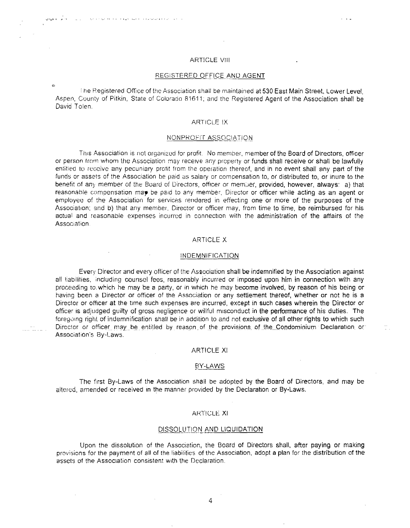#### ARTICLE VIII

#### REGISTERED OFFICE AND AGENT

I he Registered Office of the Association shall be maintained at 530 East Main Street, Lower Level, Aspen, County of Pitkin, State of Colorado 81611; and the Registered Agent of the Association shall be David Tolen.

#### **ARTICLE IX**

#### NONPROFIT ASSOCIATION

This Association is not organized for profit. No member, member of the Board of Directors, officer or person from whom the Association may receive any property or funds shall receive or shall be lawfully entitled to receive any pecuniary profit from the operation thereof, and in no event shall any part of the funds or assets of the Association be paid as salary or compensation to, or distributed to, or inure to the benefit of any member of the Board of Directors, officer or member, provided, however, always: a) that reasonable compensation may be paid to any member, Director or officer while acting as an agent or employee of the Association for services rendered in effecting one or more of the purposes of the Association: and b) that any member, Director or officer may, from time to time. be reimbursed for his actual and reasonable expenses incurred in connection with the administration of the affairs of the Association.

#### ARTICLE X

#### INDEMNIFICATION

Every Director and every officer of the Association shall be indemnified by the Association against all liabilities, including counsel fees, reasonably incurred or imposed upon him in connection with any proceeding to. which he may be a party, or in which he may become involved, by reason of his being or having been a Director or officer of the Association or any settlement thereof, whether or not he is a Director or officer at the time such expenses are incurred, except in such cases wherein the Director or officer IS adjudged guilty of gross negligence or willful misconduct in the performance of his duties. The foregoing right of indemnification shall be in addition to and not exclusive of all other rights to which such Director or officer may be entitled by reason of the provisions of the Condominium Declaration or Association's By-Laws,

#### ARTICLE XI

#### BY-LAWS

The first By-Laws of the Association shall be adopted by the Board of Directors, and may be altered, amended or received in the manner provided by the Declaration or By-Laws,

#### ARTICLE. XI

#### DISSOLUTION AND LIQUIDATION.

Upon the dissolution of the Association, the Board of Directors shall, after paying or making provisions for the payment of all of the liabilities of the Association, adopt a plan for the distribution of the assets of the Association consistent with the Declaration.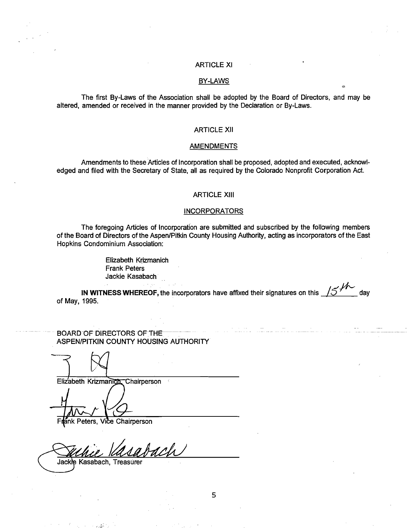## ARTICLE XI

### BY-LAWS

The first By-Laws of the Association shall be adopted by the Board of Directors, and may be altered, amended or received in the manner provided by the Declaration or By-Laws.

### ARTICLE XII

#### AMENDMENTS

Amendments to these Articles of Incorporation shall be proposed, adopted and executed, acknowledged and filed with the Secretary of State, all as required by the Colorado Nonprofit Corporation Act.

## ARTICLE XIII

#### **INCORPORATORS**

The foregoing Articles of Incorporation are submitted and subscribed by the following members of the Board of Directors of the Aspen/Pitkin County Housing Authority, acting as incorporators of the East Hopkins Condominium Association:

> Elizabeth K~izmanich Frank Peters Jackie Kasabach

**IN WITNESS WHEREOF,** the incorporators have affixed their signatures on this *1\$.J-1'---* day of May, 1995.

 $\mathcal{F}^{\mathcal{G}}_{\mathcal{G}}(x)$  and  $\mathcal{F}^{\mathcal{G}}_{\mathcal{G}}(x)$  and  $\mathcal{F}^{\mathcal{G}}_{\mathcal{G}}(x)$ 

BOARD OF DIRECTORS OF THE ASPEN/PITKIN COUNTY HOUSING AUTHORITY

Elizabeth Krizmanich, Chairperson

ánk Peters. F Vice Chairperson

dch Jackie Kasabach, Treasurer

5